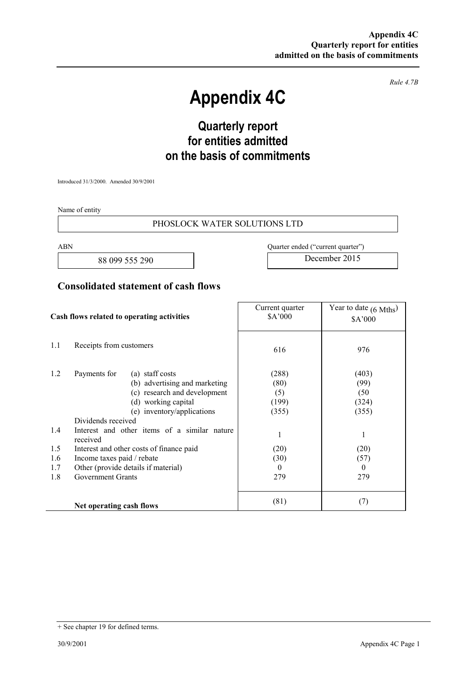*Rule 4.7B* 

# **Appendix 4C**

## **Quarterly report for entities admitted on the basis of commitments**

Introduced 31/3/2000. Amended 30/9/2001

Name of entity

#### PHOSLOCK WATER SOLUTIONS LTD

88 099 555 290 December 2015

ABN Quarter ended ("current quarter")

### **Consolidated statement of cash flows**

| Cash flows related to operating activities |                                                                                                                                                                                                                                         | Current quarter<br>\$A'000                  | Year to date $(6 \text{ Mths})$<br>\$A'000   |
|--------------------------------------------|-----------------------------------------------------------------------------------------------------------------------------------------------------------------------------------------------------------------------------------------|---------------------------------------------|----------------------------------------------|
| 1.1                                        | Receipts from customers                                                                                                                                                                                                                 | 616                                         | 976                                          |
| 1.2<br>1.4                                 | Payments for<br>(a) staff costs<br>(b) advertising and marketing<br>(c) research and development<br>(d) working capital<br>(e) inventory/applications<br>Dividends received<br>Interest and other items of a similar nature<br>received | (288)<br>(80)<br>(5)<br>(199)<br>(355)<br>1 | (403)<br>(99)<br>(50)<br>(324)<br>(355)<br>1 |
| 1.5<br>1.6<br>1.7<br>1.8                   | Interest and other costs of finance paid<br>Income taxes paid / rebate<br>Other (provide details if material)<br><b>Government Grants</b>                                                                                               | (20)<br>(30)<br>$\theta$<br>279             | (20)<br>(57)<br>$\theta$<br>279              |
|                                            | Net operating cash flows                                                                                                                                                                                                                | (81)                                        | (7)                                          |

<sup>+</sup> See chapter 19 for defined terms.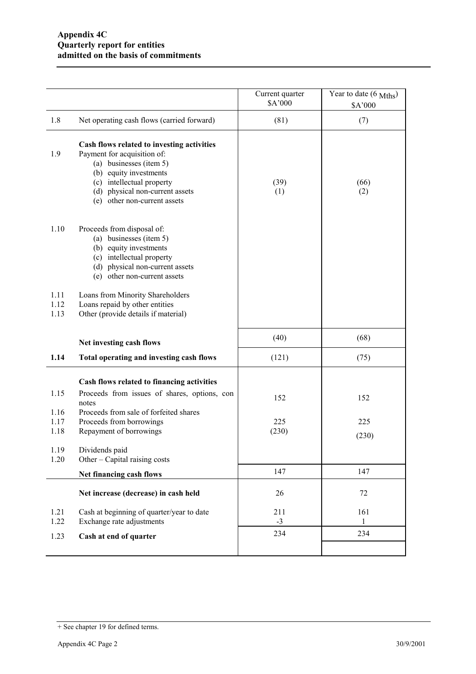|                      |                                                                                                                                                                                                                                | Current quarter<br>\$A'000 | Year to date (6 Mths)<br>\$A'000 |
|----------------------|--------------------------------------------------------------------------------------------------------------------------------------------------------------------------------------------------------------------------------|----------------------------|----------------------------------|
| 1.8                  | Net operating cash flows (carried forward)                                                                                                                                                                                     | (81)                       | (7)                              |
| 1.9                  | Cash flows related to investing activities<br>Payment for acquisition of:<br>(a) businesses (item 5)<br>(b) equity investments<br>(c) intellectual property<br>(d) physical non-current assets<br>(e) other non-current assets | (39)<br>(1)                | (66)<br>(2)                      |
| 1.10                 | Proceeds from disposal of:<br>(a) businesses (item 5)<br>(b) equity investments<br>(c) intellectual property<br>(d) physical non-current assets<br>(e) other non-current assets                                                |                            |                                  |
| 1.11<br>1.12<br>1.13 | Loans from Minority Shareholders<br>Loans repaid by other entities<br>Other (provide details if material)                                                                                                                      |                            |                                  |
|                      | Net investing cash flows                                                                                                                                                                                                       | (40)                       | (68)                             |
| 1.14                 | Total operating and investing cash flows                                                                                                                                                                                       | (121)                      | (75)                             |
| 1.15                 | Cash flows related to financing activities                                                                                                                                                                                     |                            |                                  |
|                      | Proceeds from issues of shares, options, con<br>notes<br>Proceeds from sale of forfeited shares                                                                                                                                | 152                        | 152                              |
| 1.16<br>1.17         | Proceeds from borrowings                                                                                                                                                                                                       | 225                        | 225                              |
| 1.18                 | Repayment of borrowings                                                                                                                                                                                                        | (230)                      | (230)                            |
| 1.19<br>1.20         | Dividends paid<br>Other – Capital raising costs                                                                                                                                                                                |                            |                                  |
|                      | Net financing cash flows                                                                                                                                                                                                       | 147                        | 147                              |
|                      | Net increase (decrease) in cash held                                                                                                                                                                                           | 26                         | 72                               |
| 1.21                 | Cash at beginning of quarter/year to date                                                                                                                                                                                      | 211                        | 161                              |
| 1.22<br>1.23         | Exchange rate adjustments<br>Cash at end of quarter                                                                                                                                                                            | $-3$<br>234                | 1<br>234                         |
|                      |                                                                                                                                                                                                                                |                            |                                  |

<sup>+</sup> See chapter 19 for defined terms.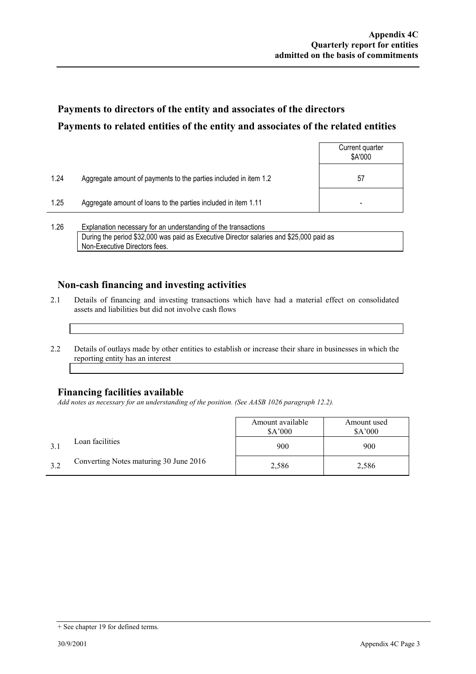### **Payments to directors of the entity and associates of the directors Payments to related entities of the entity and associates of the related entities**

|      |                                                                  | Current quarter<br>\$A'000 |
|------|------------------------------------------------------------------|----------------------------|
| 1.24 | Aggregate amount of payments to the parties included in item 1.2 | 57                         |
| 1.25 | Aggregate amount of loans to the parties included in item 1.11   |                            |
|      |                                                                  |                            |

1.26 Explanation necessary for an understanding of the transactions During the period \$32,000 was paid as Executive Director salaries and \$25,000 paid as Non-Executive Directors fees.

### **Non-cash financing and investing activities**

- 2.1 Details of financing and investing transactions which have had a material effect on consolidated assets and liabilities but did not involve cash flows
- 2.2 Details of outlays made by other entities to establish or increase their share in businesses in which the reporting entity has an interest

#### **Financing facilities available**

*Add notes as necessary for an understanding of the position. (See AASB 1026 paragraph 12.2).* 

|     |                                        | Amount available<br>\$A'000 | Amount used<br>\$A'000 |
|-----|----------------------------------------|-----------------------------|------------------------|
|     | Loan facilities                        | 900                         | 900                    |
| 3.2 | Converting Notes maturing 30 June 2016 | 2,586                       | 2,586                  |

<sup>+</sup> See chapter 19 for defined terms.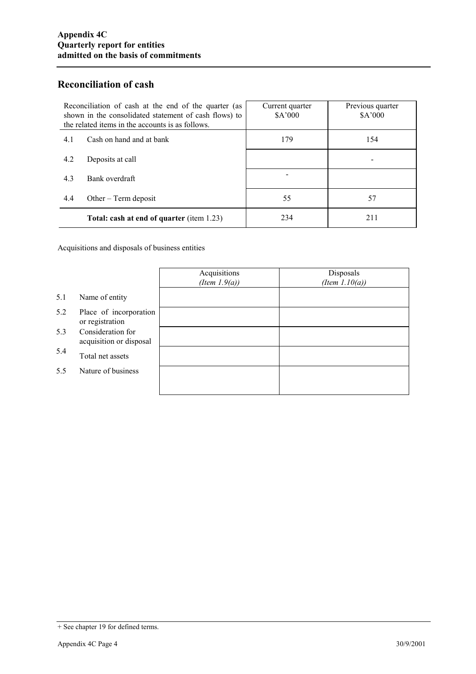### **Reconciliation of cash**

| Reconciliation of cash at the end of the quarter (as<br>shown in the consolidated statement of cash flows) to<br>the related items in the accounts is as follows. | Current quarter<br>\$A'000 | Previous quarter<br>\$A'000 |
|-------------------------------------------------------------------------------------------------------------------------------------------------------------------|----------------------------|-----------------------------|
| Cash on hand and at bank<br>4.1                                                                                                                                   | 179                        | 154                         |
| 4.2<br>Deposits at call                                                                                                                                           |                            |                             |
| 4.3<br>Bank overdraft                                                                                                                                             |                            |                             |
| 4.4<br>Other $-$ Term deposit                                                                                                                                     | 55                         | 57                          |
| <b>Total: cash at end of quarter (item 1.23)</b>                                                                                                                  | 234                        | 211                         |

Acquisitions and disposals of business entities

|     |                                              | Acquisitions<br>(Item $1.9(a)$ ) | Disposals<br>(Item $1.10(a)$ ) |
|-----|----------------------------------------------|----------------------------------|--------------------------------|
| 5.1 | Name of entity                               |                                  |                                |
| 5.2 | Place of incorporation<br>or registration    |                                  |                                |
| 5.3 | Consideration for<br>acquisition or disposal |                                  |                                |
| 5.4 | Total net assets                             |                                  |                                |
| 5.5 | Nature of business                           |                                  |                                |
|     |                                              |                                  |                                |

<sup>+</sup> See chapter 19 for defined terms.